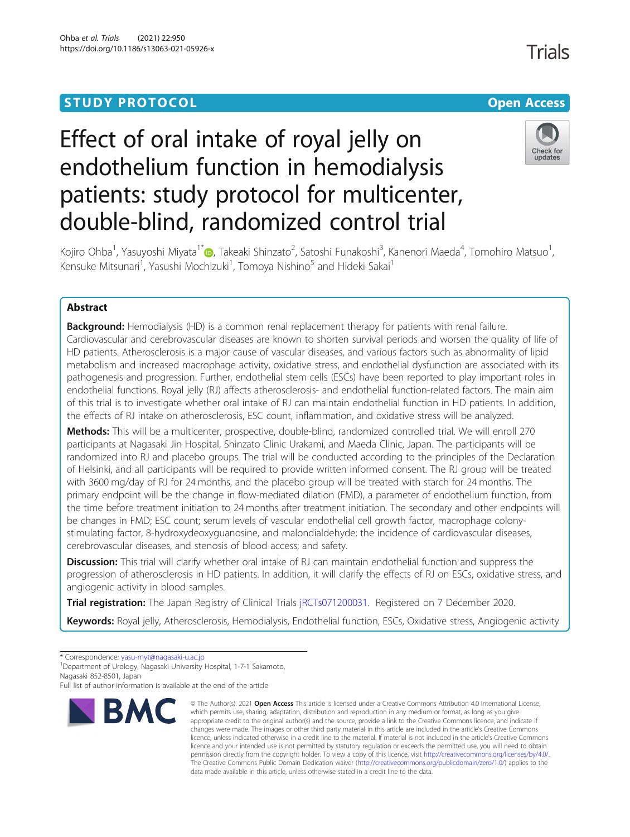# **STUDY PROTOCOL CONSUMING THE RESERVE ACCESS**

# Effect of oral intake of royal jelly on endothelium function in hemodialysis patients: study protocol for multicenter, double-blind, randomized control trial



Kojiro Ohba<sup>1</sup>[,](http://orcid.org/0000-0001-6272-6657) Yasuyoshi Miyata<sup>1\*</sup>i , Takeaki Shinzato<sup>2</sup>, Satoshi Funakoshi<sup>3</sup>, Kanenori Maeda<sup>4</sup>, Tomohiro Matsuo<sup>1</sup> , Kensuke Mitsunari<sup>1</sup>, Yasushi Mochizuki<sup>1</sup>, Tomoya Nishino<sup>5</sup> and Hideki Sakai<sup>1</sup>

## Abstract

**Background:** Hemodialysis (HD) is a common renal replacement therapy for patients with renal failure. Cardiovascular and cerebrovascular diseases are known to shorten survival periods and worsen the quality of life of HD patients. Atherosclerosis is a major cause of vascular diseases, and various factors such as abnormality of lipid metabolism and increased macrophage activity, oxidative stress, and endothelial dysfunction are associated with its pathogenesis and progression. Further, endothelial stem cells (ESCs) have been reported to play important roles in endothelial functions. Royal jelly (RJ) affects atherosclerosis- and endothelial function-related factors. The main aim of this trial is to investigate whether oral intake of RJ can maintain endothelial function in HD patients. In addition, the effects of RJ intake on atherosclerosis, ESC count, inflammation, and oxidative stress will be analyzed.

Methods: This will be a multicenter, prospective, double-blind, randomized controlled trial. We will enroll 270 participants at Nagasaki Jin Hospital, Shinzato Clinic Urakami, and Maeda Clinic, Japan. The participants will be randomized into RJ and placebo groups. The trial will be conducted according to the principles of the Declaration of Helsinki, and all participants will be required to provide written informed consent. The RJ group will be treated with 3600 mg/day of RJ for 24 months, and the placebo group will be treated with starch for 24 months. The primary endpoint will be the change in flow-mediated dilation (FMD), a parameter of endothelium function, from the time before treatment initiation to 24 months after treatment initiation. The secondary and other endpoints will be changes in FMD; ESC count; serum levels of vascular endothelial cell growth factor, macrophage colonystimulating factor, 8-hydroxydeoxyguanosine, and malondialdehyde; the incidence of cardiovascular diseases, cerebrovascular diseases, and stenosis of blood access; and safety.

**Discussion:** This trial will clarify whether oral intake of RJ can maintain endothelial function and suppress the progression of atherosclerosis in HD patients. In addition, it will clarify the effects of RJ on ESCs, oxidative stress, and angiogenic activity in blood samples.

Trial registration: The Japan Registry of Clinical Trials [jRCTs071200031.](https://jrct.niph.go.jp/latest-detail/jRCTs071200031) Registered on 7 December 2020.

Keywords: Royal jelly, Atherosclerosis, Hemodialysis, Endothelial function, ESCs, Oxidative stress, Angiogenic activity

\* Correspondence: [yasu-myt@nagasaki-u.ac.jp](mailto:yasu-myt@nagasaki-u.ac.jp) <sup>1</sup>

<sup>1</sup>Department of Urology, Nagasaki University Hospital, 1-7-1 Sakamoto, Nagasaki 852-8501, Japan

Full list of author information is available at the end of the article



<sup>©</sup> The Author(s), 2021 **Open Access** This article is licensed under a Creative Commons Attribution 4.0 International License, which permits use, sharing, adaptation, distribution and reproduction in any medium or format, as long as you give appropriate credit to the original author(s) and the source, provide a link to the Creative Commons licence, and indicate if changes were made. The images or other third party material in this article are included in the article's Creative Commons licence, unless indicated otherwise in a credit line to the material. If material is not included in the article's Creative Commons licence and your intended use is not permitted by statutory regulation or exceeds the permitted use, you will need to obtain permission directly from the copyright holder. To view a copy of this licence, visit [http://creativecommons.org/licenses/by/4.0/.](http://creativecommons.org/licenses/by/4.0/) The Creative Commons Public Domain Dedication waiver [\(http://creativecommons.org/publicdomain/zero/1.0/](http://creativecommons.org/publicdomain/zero/1.0/)) applies to the data made available in this article, unless otherwise stated in a credit line to the data.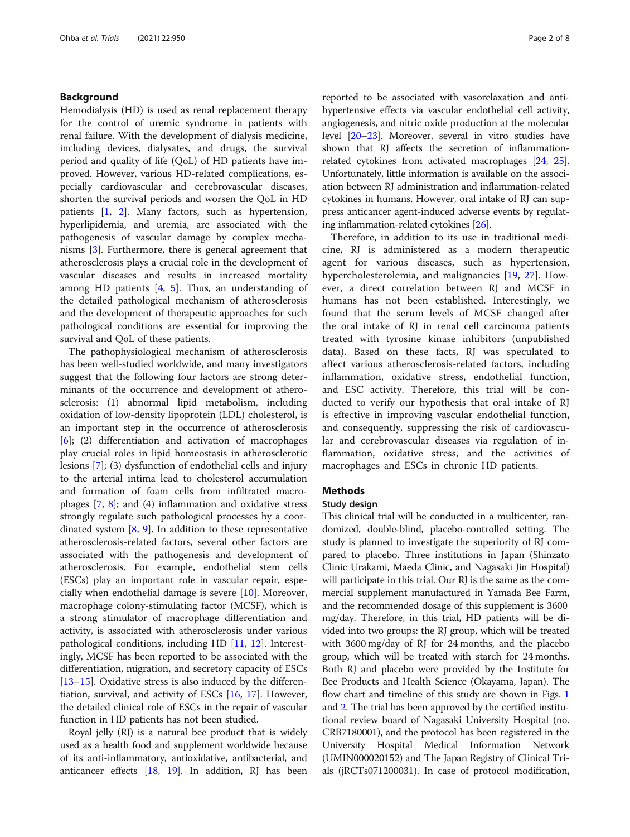#### Background

Hemodialysis (HD) is used as renal replacement therapy for the control of uremic syndrome in patients with renal failure. With the development of dialysis medicine, including devices, dialysates, and drugs, the survival period and quality of life (QoL) of HD patients have improved. However, various HD-related complications, especially cardiovascular and cerebrovascular diseases, shorten the survival periods and worsen the QoL in HD patients [[1,](#page-6-0) [2](#page-6-0)]. Many factors, such as hypertension, hyperlipidemia, and uremia, are associated with the pathogenesis of vascular damage by complex mechanisms [\[3](#page-6-0)]. Furthermore, there is general agreement that atherosclerosis plays a crucial role in the development of vascular diseases and results in increased mortality among HD patients [\[4](#page-6-0), [5](#page-6-0)]. Thus, an understanding of the detailed pathological mechanism of atherosclerosis and the development of therapeutic approaches for such pathological conditions are essential for improving the survival and QoL of these patients.

The pathophysiological mechanism of atherosclerosis has been well-studied worldwide, and many investigators suggest that the following four factors are strong determinants of the occurrence and development of atherosclerosis: (1) abnormal lipid metabolism, including oxidation of low-density lipoprotein (LDL) cholesterol, is an important step in the occurrence of atherosclerosis [[6\]](#page-6-0); (2) differentiation and activation of macrophages play crucial roles in lipid homeostasis in atherosclerotic lesions [[7](#page-6-0)]; (3) dysfunction of endothelial cells and injury to the arterial intima lead to cholesterol accumulation and formation of foam cells from infiltrated macrophages [\[7](#page-6-0), [8](#page-6-0)]; and (4) inflammation and oxidative stress strongly regulate such pathological processes by a coordinated system  $[8, 9]$  $[8, 9]$  $[8, 9]$  $[8, 9]$ . In addition to these representative atherosclerosis-related factors, several other factors are associated with the pathogenesis and development of atherosclerosis. For example, endothelial stem cells (ESCs) play an important role in vascular repair, especially when endothelial damage is severe [\[10\]](#page-6-0). Moreover, macrophage colony-stimulating factor (MCSF), which is a strong stimulator of macrophage differentiation and activity, is associated with atherosclerosis under various pathological conditions, including HD [\[11](#page-6-0), [12\]](#page-6-0). Interestingly, MCSF has been reported to be associated with the differentiation, migration, and secretory capacity of ESCs [[13](#page-6-0)–[15](#page-6-0)]. Oxidative stress is also induced by the differentiation, survival, and activity of ESCs  $[16, 17]$  $[16, 17]$  $[16, 17]$ . However, the detailed clinical role of ESCs in the repair of vascular function in HD patients has not been studied.

Royal jelly (RJ) is a natural bee product that is widely used as a health food and supplement worldwide because of its anti-inflammatory, antioxidative, antibacterial, and anticancer effects  $[18, 19]$  $[18, 19]$  $[18, 19]$  $[18, 19]$ . In addition, RJ has been

reported to be associated with vasorelaxation and antihypertensive effects via vascular endothelial cell activity, angiogenesis, and nitric oxide production at the molecular level [[20](#page-7-0)–[23\]](#page-7-0). Moreover, several in vitro studies have shown that RJ affects the secretion of inflammationrelated cytokines from activated macrophages [[24](#page-7-0), [25](#page-7-0)]. Unfortunately, little information is available on the association between RJ administration and inflammation-related cytokines in humans. However, oral intake of RJ can suppress anticancer agent-induced adverse events by regulating inflammation-related cytokines [[26](#page-7-0)].

Therefore, in addition to its use in traditional medicine, RJ is administered as a modern therapeutic agent for various diseases, such as hypertension, hypercholesterolemia, and malignancies [[19,](#page-7-0) [27\]](#page-7-0). However, a direct correlation between RJ and MCSF in humans has not been established. Interestingly, we found that the serum levels of MCSF changed after the oral intake of RJ in renal cell carcinoma patients treated with tyrosine kinase inhibitors (unpublished data). Based on these facts, RJ was speculated to affect various atherosclerosis-related factors, including inflammation, oxidative stress, endothelial function, and ESC activity. Therefore, this trial will be conducted to verify our hypothesis that oral intake of RJ is effective in improving vascular endothelial function, and consequently, suppressing the risk of cardiovascular and cerebrovascular diseases via regulation of inflammation, oxidative stress, and the activities of macrophages and ESCs in chronic HD patients.

### Methods

#### Study design

This clinical trial will be conducted in a multicenter, randomized, double-blind, placebo-controlled setting. The study is planned to investigate the superiority of RJ compared to placebo. Three institutions in Japan (Shinzato Clinic Urakami, Maeda Clinic, and Nagasaki Jin Hospital) will participate in this trial. Our RJ is the same as the commercial supplement manufactured in Yamada Bee Farm, and the recommended dosage of this supplement is 3600 mg/day. Therefore, in this trial, HD patients will be divided into two groups: the RJ group, which will be treated with 3600 mg/day of RJ for 24 months, and the placebo group, which will be treated with starch for 24 months. Both RJ and placebo were provided by the Institute for Bee Products and Health Science (Okayama, Japan). The flow chart and timeline of this study are shown in Figs. [1](#page-2-0) and [2](#page-2-0). The trial has been approved by the certified institutional review board of Nagasaki University Hospital (no. CRB7180001), and the protocol has been registered in the University Hospital Medical Information Network (UMIN000020152) and The Japan Registry of Clinical Trials (jRCTs071200031). In case of protocol modification,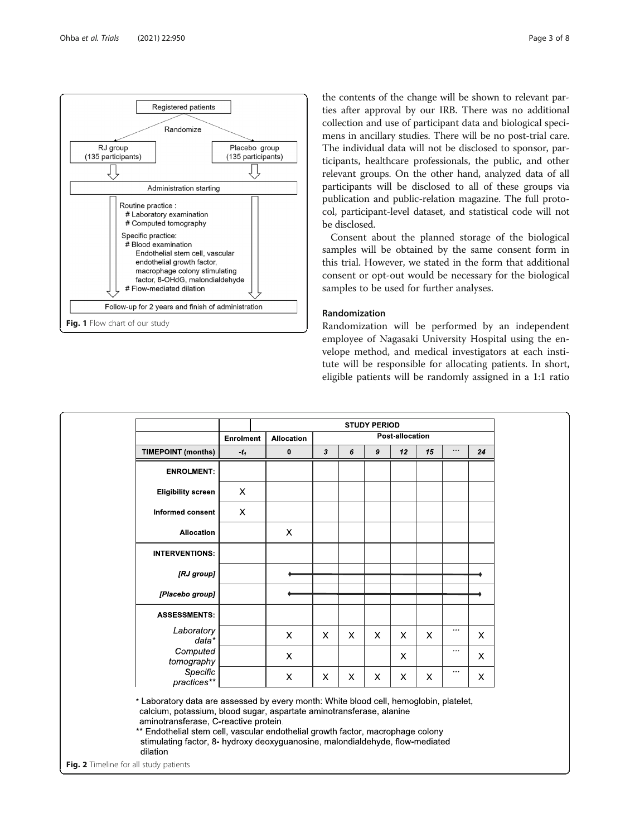<span id="page-2-0"></span>

the contents of the change will be shown to relevant parties after approval by our IRB. There was no additional collection and use of participant data and biological specimens in ancillary studies. There will be no post-trial care. The individual data will not be disclosed to sponsor, participants, healthcare professionals, the public, and other relevant groups. On the other hand, analyzed data of all participants will be disclosed to all of these groups via publication and public-relation magazine. The full protocol, participant-level dataset, and statistical code will not be disclosed.

Consent about the planned storage of the biological samples will be obtained by the same consent form in this trial. However, we stated in the form that additional consent or opt-out would be necessary for the biological samples to be used for further analyses.

#### Randomization

Randomization will be performed by an independent employee of Nagasaki University Hospital using the envelope method, and medical investigators at each institute will be responsible for allocating patients. In short, eligible patients will be randomly assigned in a 1:1 ratio



Fig. 2 Timeline for all study patients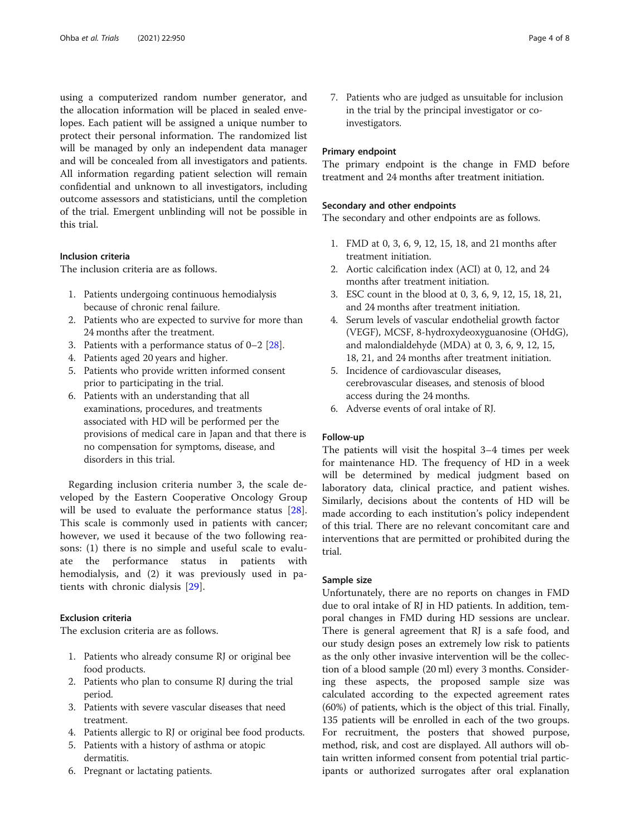using a computerized random number generator, and the allocation information will be placed in sealed envelopes. Each patient will be assigned a unique number to protect their personal information. The randomized list will be managed by only an independent data manager and will be concealed from all investigators and patients. All information regarding patient selection will remain confidential and unknown to all investigators, including outcome assessors and statisticians, until the completion of the trial. Emergent unblinding will not be possible in this trial.

#### Inclusion criteria

The inclusion criteria are as follows.

- 1. Patients undergoing continuous hemodialysis because of chronic renal failure.
- 2. Patients who are expected to survive for more than 24 months after the treatment.
- 3. Patients with a performance status of  $0-2$  [\[28\]](#page-7-0).
- 4. Patients aged 20 years and higher.
- 5. Patients who provide written informed consent prior to participating in the trial.
- 6. Patients with an understanding that all examinations, procedures, and treatments associated with HD will be performed per the provisions of medical care in Japan and that there is no compensation for symptoms, disease, and disorders in this trial.

Regarding inclusion criteria number 3, the scale developed by the Eastern Cooperative Oncology Group will be used to evaluate the performance status [\[28](#page-7-0)]. This scale is commonly used in patients with cancer; however, we used it because of the two following reasons: (1) there is no simple and useful scale to evaluate the performance status in patients with hemodialysis, and (2) it was previously used in patients with chronic dialysis [\[29](#page-7-0)].

#### Exclusion criteria

The exclusion criteria are as follows.

- 1. Patients who already consume RJ or original bee food products.
- 2. Patients who plan to consume RJ during the trial period.
- 3. Patients with severe vascular diseases that need treatment.
- 4. Patients allergic to RJ or original bee food products.
- 5. Patients with a history of asthma or atopic dermatitis.
- 6. Pregnant or lactating patients.

7. Patients who are judged as unsuitable for inclusion in the trial by the principal investigator or coinvestigators.

#### Primary endpoint

The primary endpoint is the change in FMD before treatment and 24 months after treatment initiation.

#### Secondary and other endpoints

The secondary and other endpoints are as follows.

- 1. FMD at 0, 3, 6, 9, 12, 15, 18, and 21 months after treatment initiation.
- 2. Aortic calcification index (ACI) at 0, 12, and 24 months after treatment initiation.
- 3. ESC count in the blood at 0, 3, 6, 9, 12, 15, 18, 21, and 24 months after treatment initiation.
- 4. Serum levels of vascular endothelial growth factor (VEGF), MCSF, 8-hydroxydeoxyguanosine (OHdG), and malondialdehyde (MDA) at 0, 3, 6, 9, 12, 15, 18, 21, and 24 months after treatment initiation.
- 5. Incidence of cardiovascular diseases, cerebrovascular diseases, and stenosis of blood access during the 24 months.
- 6. Adverse events of oral intake of RJ.

#### Follow-up

The patients will visit the hospital 3–4 times per week for maintenance HD. The frequency of HD in a week will be determined by medical judgment based on laboratory data, clinical practice, and patient wishes. Similarly, decisions about the contents of HD will be made according to each institution's policy independent of this trial. There are no relevant concomitant care and interventions that are permitted or prohibited during the trial.

#### Sample size

Unfortunately, there are no reports on changes in FMD due to oral intake of RJ in HD patients. In addition, temporal changes in FMD during HD sessions are unclear. There is general agreement that RJ is a safe food, and our study design poses an extremely low risk to patients as the only other invasive intervention will be the collection of a blood sample (20 ml) every 3 months. Considering these aspects, the proposed sample size was calculated according to the expected agreement rates (60%) of patients, which is the object of this trial. Finally, 135 patients will be enrolled in each of the two groups. For recruitment, the posters that showed purpose, method, risk, and cost are displayed. All authors will obtain written informed consent from potential trial participants or authorized surrogates after oral explanation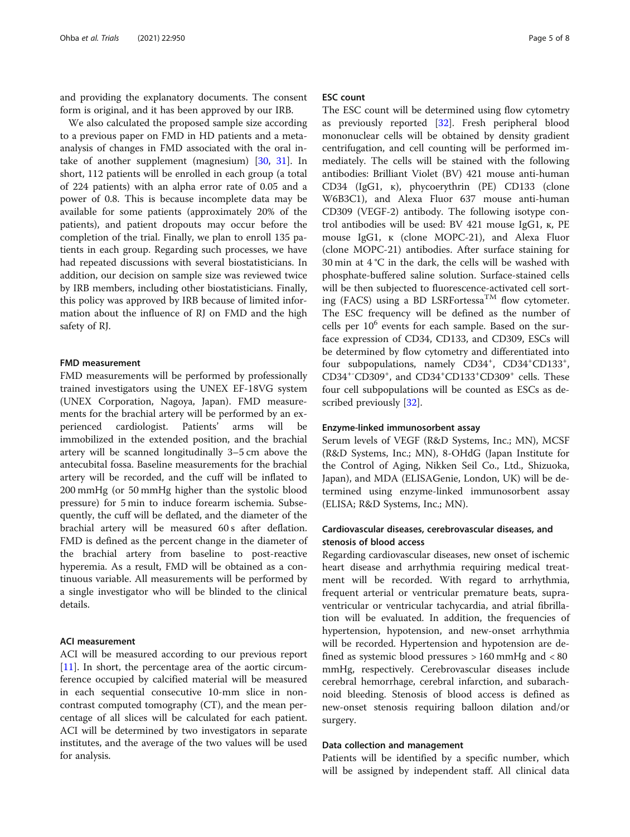and providing the explanatory documents. The consent form is original, and it has been approved by our IRB.

We also calculated the proposed sample size according to a previous paper on FMD in HD patients and a metaanalysis of changes in FMD associated with the oral intake of another supplement (magnesium) [[30,](#page-7-0) [31](#page-7-0)]. In short, 112 patients will be enrolled in each group (a total of 224 patients) with an alpha error rate of 0.05 and a power of 0.8. This is because incomplete data may be available for some patients (approximately 20% of the patients), and patient dropouts may occur before the completion of the trial. Finally, we plan to enroll 135 patients in each group. Regarding such processes, we have had repeated discussions with several biostatisticians. In addition, our decision on sample size was reviewed twice by IRB members, including other biostatisticians. Finally, this policy was approved by IRB because of limited information about the influence of RJ on FMD and the high safety of RJ.

#### FMD measurement

FMD measurements will be performed by professionally trained investigators using the UNEX EF-18VG system (UNEX Corporation, Nagoya, Japan). FMD measurements for the brachial artery will be performed by an experienced cardiologist. Patients' arms will be immobilized in the extended position, and the brachial artery will be scanned longitudinally 3–5 cm above the antecubital fossa. Baseline measurements for the brachial artery will be recorded, and the cuff will be inflated to 200 mmHg (or 50 mmHg higher than the systolic blood pressure) for 5 min to induce forearm ischemia. Subsequently, the cuff will be deflated, and the diameter of the brachial artery will be measured 60 s after deflation. FMD is defined as the percent change in the diameter of the brachial artery from baseline to post-reactive hyperemia. As a result, FMD will be obtained as a continuous variable. All measurements will be performed by a single investigator who will be blinded to the clinical details.

#### ACI measurement

ACI will be measured according to our previous report [[11\]](#page-6-0). In short, the percentage area of the aortic circumference occupied by calcified material will be measured in each sequential consecutive 10-mm slice in noncontrast computed tomography (CT), and the mean percentage of all slices will be calculated for each patient. ACI will be determined by two investigators in separate institutes, and the average of the two values will be used for analysis.

#### ESC count

The ESC count will be determined using flow cytometry as previously reported [[32](#page-7-0)]. Fresh peripheral blood mononuclear cells will be obtained by density gradient centrifugation, and cell counting will be performed immediately. The cells will be stained with the following antibodies: Brilliant Violet (BV) 421 mouse anti-human CD34 (IgG1, к), phycoerythrin (PE) CD133 (clone W6B3C1), and Alexa Fluor 637 mouse anti-human CD309 (VEGF-2) antibody. The following isotype control antibodies will be used: BV 421 mouse IgG1, к, PE mouse IgG1, к (clone MOPC-21), and Alexa Fluor (clone MOPC-21) antibodies. After surface staining for 30 min at 4 °C in the dark, the cells will be washed with phosphate-buffered saline solution. Surface-stained cells will be then subjected to fluorescence-activated cell sorting (FACS) using a BD LSRFortessa<sup>TM</sup> flow cytometer. The ESC frequency will be defined as the number of cells per  $10<sup>6</sup>$  events for each sample. Based on the surface expression of CD34, CD133, and CD309, ESCs will be determined by flow cytometry and differentiated into four subpopulations, namely CD34<sup>+</sup>, CD34<sup>+</sup>CD133<sup>+</sup>, CD34<sup>+-</sup>CD309<sup>+</sup>, and CD34<sup>+</sup>CD133<sup>+</sup>CD309<sup>+</sup> cells. These four cell subpopulations will be counted as ESCs as described previously [\[32](#page-7-0)].

#### Enzyme-linked immunosorbent assay

Serum levels of VEGF (R&D Systems, Inc.; MN), MCSF (R&D Systems, Inc.; MN), 8-OHdG (Japan Institute for the Control of Aging, Nikken Seil Co., Ltd., Shizuoka, Japan), and MDA (ELISAGenie, London, UK) will be determined using enzyme-linked immunosorbent assay (ELISA; R&D Systems, Inc.; MN).

#### Cardiovascular diseases, cerebrovascular diseases, and stenosis of blood access

Regarding cardiovascular diseases, new onset of ischemic heart disease and arrhythmia requiring medical treatment will be recorded. With regard to arrhythmia, frequent arterial or ventricular premature beats, supraventricular or ventricular tachycardia, and atrial fibrillation will be evaluated. In addition, the frequencies of hypertension, hypotension, and new-onset arrhythmia will be recorded. Hypertension and hypotension are defined as systemic blood pressures > 160 mmHg and < 80 mmHg, respectively. Cerebrovascular diseases include cerebral hemorrhage, cerebral infarction, and subarachnoid bleeding. Stenosis of blood access is defined as new-onset stenosis requiring balloon dilation and/or surgery.

#### Data collection and management

Patients will be identified by a specific number, which will be assigned by independent staff. All clinical data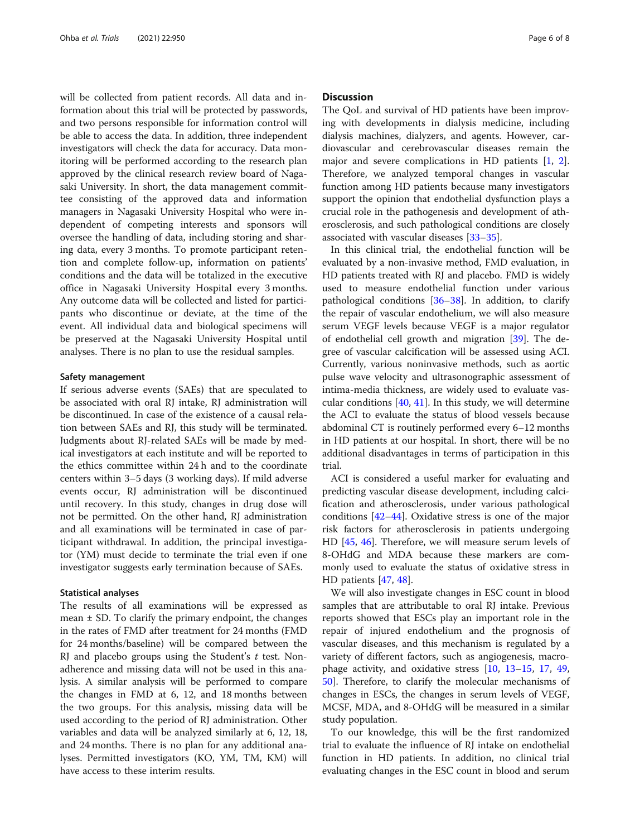will be collected from patient records. All data and information about this trial will be protected by passwords, and two persons responsible for information control will be able to access the data. In addition, three independent investigators will check the data for accuracy. Data monitoring will be performed according to the research plan approved by the clinical research review board of Nagasaki University. In short, the data management committee consisting of the approved data and information managers in Nagasaki University Hospital who were independent of competing interests and sponsors will oversee the handling of data, including storing and sharing data, every 3 months. To promote participant retention and complete follow-up, information on patients' conditions and the data will be totalized in the executive office in Nagasaki University Hospital every 3 months. Any outcome data will be collected and listed for participants who discontinue or deviate, at the time of the event. All individual data and biological specimens will be preserved at the Nagasaki University Hospital until analyses. There is no plan to use the residual samples.

#### Safety management

If serious adverse events (SAEs) that are speculated to be associated with oral RJ intake, RJ administration will be discontinued. In case of the existence of a causal relation between SAEs and RJ, this study will be terminated. Judgments about RJ-related SAEs will be made by medical investigators at each institute and will be reported to the ethics committee within 24 h and to the coordinate centers within 3–5 days (3 working days). If mild adverse events occur, RJ administration will be discontinued until recovery. In this study, changes in drug dose will not be permitted. On the other hand, RJ administration and all examinations will be terminated in case of participant withdrawal. In addition, the principal investigator (YM) must decide to terminate the trial even if one investigator suggests early termination because of SAEs.

#### Statistical analyses

The results of all examinations will be expressed as mean  $\pm$  SD. To clarify the primary endpoint, the changes in the rates of FMD after treatment for 24 months (FMD for 24 months/baseline) will be compared between the RJ and placebo groups using the Student's  $t$  test. Nonadherence and missing data will not be used in this analysis. A similar analysis will be performed to compare the changes in FMD at 6, 12, and 18 months between the two groups. For this analysis, missing data will be used according to the period of RJ administration. Other variables and data will be analyzed similarly at 6, 12, 18, and 24 months. There is no plan for any additional analyses. Permitted investigators (KO, YM, TM, KM) will have access to these interim results.

#### **Discussion**

The QoL and survival of HD patients have been improving with developments in dialysis medicine, including dialysis machines, dialyzers, and agents. However, cardiovascular and cerebrovascular diseases remain the major and severe complications in HD patients [[1](#page-6-0), [2](#page-6-0)]. Therefore, we analyzed temporal changes in vascular function among HD patients because many investigators support the opinion that endothelial dysfunction plays a crucial role in the pathogenesis and development of atherosclerosis, and such pathological conditions are closely associated with vascular diseases [\[33](#page-7-0)–[35\]](#page-7-0).

In this clinical trial, the endothelial function will be evaluated by a non-invasive method, FMD evaluation, in HD patients treated with RJ and placebo. FMD is widely used to measure endothelial function under various pathological conditions  $[36-38]$  $[36-38]$  $[36-38]$ . In addition, to clarify the repair of vascular endothelium, we will also measure serum VEGF levels because VEGF is a major regulator of endothelial cell growth and migration [\[39\]](#page-7-0). The degree of vascular calcification will be assessed using ACI. Currently, various noninvasive methods, such as aortic pulse wave velocity and ultrasonographic assessment of intima-media thickness, are widely used to evaluate vascular conditions  $[40, 41]$  $[40, 41]$  $[40, 41]$  $[40, 41]$  $[40, 41]$ . In this study, we will determine the ACI to evaluate the status of blood vessels because abdominal CT is routinely performed every 6–12 months in HD patients at our hospital. In short, there will be no additional disadvantages in terms of participation in this trial.

ACI is considered a useful marker for evaluating and predicting vascular disease development, including calcification and atherosclerosis, under various pathological conditions [\[42](#page-7-0)–[44\]](#page-7-0). Oxidative stress is one of the major risk factors for atherosclerosis in patients undergoing HD [\[45,](#page-7-0) [46](#page-7-0)]. Therefore, we will measure serum levels of 8-OHdG and MDA because these markers are commonly used to evaluate the status of oxidative stress in HD patients [[47](#page-7-0), [48](#page-7-0)].

We will also investigate changes in ESC count in blood samples that are attributable to oral RJ intake. Previous reports showed that ESCs play an important role in the repair of injured endothelium and the prognosis of vascular diseases, and this mechanism is regulated by a variety of different factors, such as angiogenesis, macrophage activity, and oxidative stress [[10,](#page-6-0) [13](#page-6-0)–[15](#page-6-0), [17,](#page-6-0) [49](#page-7-0), [50\]](#page-7-0). Therefore, to clarify the molecular mechanisms of changes in ESCs, the changes in serum levels of VEGF, MCSF, MDA, and 8-OHdG will be measured in a similar study population.

To our knowledge, this will be the first randomized trial to evaluate the influence of RJ intake on endothelial function in HD patients. In addition, no clinical trial evaluating changes in the ESC count in blood and serum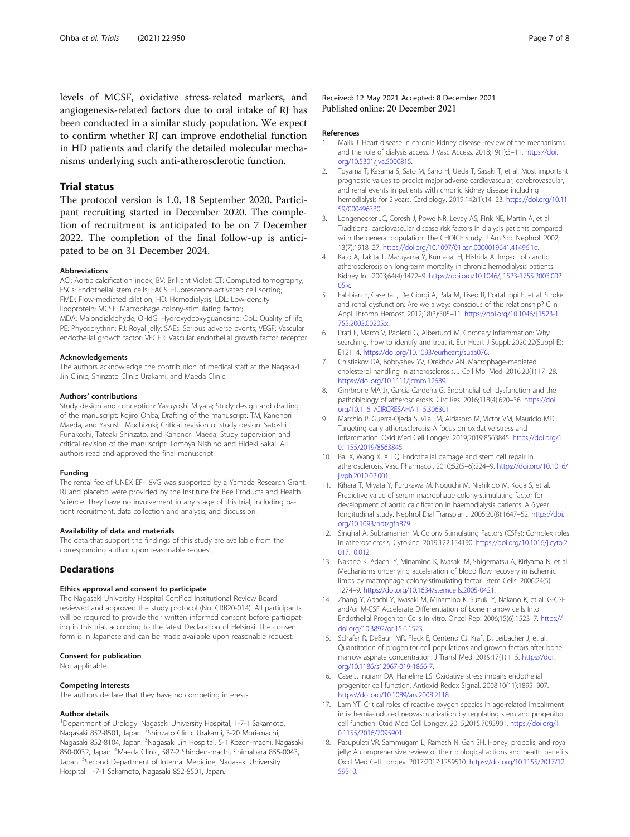<span id="page-6-0"></span>levels of MCSF, oxidative stress-related markers, and angiogenesis-related factors due to oral intake of RJ has been conducted in a similar study population. We expect to confirm whether RJ can improve endothelial function in HD patients and clarify the detailed molecular mechanisms underlying such anti-atherosclerotic function.

#### Trial status

The protocol version is 1.0, 18 September 2020. Participant recruiting started in December 2020. The completion of recruitment is anticipated to be on 7 December 2022. The completion of the final follow-up is anticipated to be on 31 December 2024.

#### Abbreviations

ACI: Aortic calcification index; BV: Brilliant Violet; CT: Computed tomography; ESCs: Endothelial stem cells; FACS: Fluorescence-activated cell sorting; FMD: Flow-mediated dilation; HD: Hemodialysis; LDL: Low-density lipoprotein; MCSF: Macrophage colony-stimulating factor; MDA: Malondialdehyde; OHdG: Hydroxydeoxyguanosine; QoL: Quality of life; PE: Phycoerythrin; RJ: Royal jelly; SAEs: Serious adverse events; VEGF: Vascular

endothelial growth factor; VEGFR: Vascular endothelial growth factor receptor

#### Acknowledgements

The authors acknowledge the contribution of medical staff at the Nagasaki Jin Clinic, Shinzato Clinic Urakami, and Maeda Clinic.

#### Authors' contributions

Study design and conception: Yasuyoshi Miyata; Study design and drafting of the manuscript: Kojiro Ohba; Drafting of the manuscript: TM, Kanenori Maeda, and Yasushi Mochizuki; Critical revision of study design: Satoshi Funakoshi, Tateaki Shinzato, and Kanenori Maeda; Study supervision and critical revision of the manuscript: Tomoya Nishino and Hideki Sakai. All authors read and approved the final manuscript.

#### Funding

The rental fee of UNEX EF-18VG was supported by a Yamada Research Grant. RJ and placebo were provided by the Institute for Bee Products and Health Science. They have no involvement in any stage of this trial, including patient recruitment, data collection and analysis, and discussion.

#### Availability of data and materials

The data that support the findings of this study are available from the corresponding author upon reasonable request.

#### **Declarations**

#### Ethics approval and consent to participate

The Nagasaki University Hospital Certified Institutional Review Board reviewed and approved the study protocol (No. CRB20-014). All participants will be required to provide their written informed consent before participating in this trial, according to the latest Declaration of Helsinki. The consent form is in Japanese and can be made available upon reasonable request.

#### Consent for publication

Not applicable.

#### Competing interests

The authors declare that they have no competing interests.

#### Author details

<sup>1</sup>Department of Urology, Nagasaki University Hospital, 1-7-1 Sakamoto, Nagasaki 852-8501, Japan. <sup>2</sup>Shinzato Clinic Urakami, 3-20 Mori-machi, Nagasaki 852-8104, Japan. <sup>3</sup>Nagasaki Jin Hospital, 5-1 Kozen-machi, Nagasaki 850-0032, Japan. <sup>4</sup> Maeda Clinic, 587-2 Shinden-machi, Shimabara 855-0043, Japan. <sup>5</sup>Second Department of Internal Medicine, Nagasaki University Hospital, 1-7-1 Sakamoto, Nagasaki 852-8501, Japan.

#### Received: 12 May 2021 Accepted: 8 December 2021 Published online: 20 December 2021

#### References

- 1. Malik J. Heart disease in chronic kidney disease -review of the mechanisms and the role of dialysis access. J Vasc Access. 2018;19(1):3-11. [https://doi.](https://doi.org/10.5301/jva.5000815) [org/10.5301/jva.5000815.](https://doi.org/10.5301/jva.5000815)
- 2. Toyama T, Kasama S, Sato M, Sano H, Ueda T, Sasaki T, et al. Most important prognostic values to predict major adverse cardiovascular, cerebrovascular, and renal events in patients with chronic kidney disease including hemodialysis for 2 years. Cardiology. 2019;142(1):14–23. [https://doi.org/10.11](https://doi.org/10.1159/000496330) [59/000496330.](https://doi.org/10.1159/000496330)
- 3. Longenecker JC, Coresh J, Powe NR, Levey AS, Fink NE, Martin A, et al. Traditional cardiovascular disease risk factors in dialysis patients compared with the general population: The CHOICE study. J Am Soc Nephrol. 2002; 13(7):1918–27. [https://doi.org/10.1097/01.asn.0000019641.41496.1e.](https://doi.org/10.1097/01.asn.0000019641.41496.1e)
- 4. Kato A, Takita T, Maruyama Y, Kumagai H, Hishida A. Impact of carotid atherosclerosis on long-term mortality in chronic hemodialysis patients. Kidney Int. 2003;64(4):1472–9. [https://doi.org/10.1046/j.1523-1755.2003.002](https://doi.org/10.1046/j.1523-1755.2003.00205.x) [05.x.](https://doi.org/10.1046/j.1523-1755.2003.00205.x)
- 5. Fabbian F, Casetta I, De Giorgi A, Pala M, Tiseo R, Portaluppi F, et al. Stroke and renal dysfunction: Are we always conscious of this relationship? Clin Appl Thromb Hemost. 2012;18(3):305–11. [https://doi.org/10.1046/j.1523-1](https://doi.org/10.1046/j.1523-1755.2003.00205.x) [755.2003.00205.x](https://doi.org/10.1046/j.1523-1755.2003.00205.x).
- 6. Prati F, Marco V, Paoletti G, Albertucci M. Coronary inflammation: Why searching, how to identify and treat it. Eur Heart J Suppl. 2020;22(Suppl E): E121–4. <https://doi.org/10.1093/eurheartj/suaa076>.
- 7. Chistiakov DA, Bobryshev YV, Orekhov AN. Macrophage-mediated cholesterol handling in atherosclerosis. J Cell Mol Med. 2016;20(1):17–28. <https://doi.org/10.1111/jcmm.12689>.
- Gimbrone MA Jr, García-Cardeña G. Endothelial cell dysfunction and the pathobiology of atherosclerosis. Circ Res. 2016;118(4):620–36. [https://doi.](https://doi.org/10.1161/CIRCRESAHA.115.306301) [org/10.1161/CIRCRESAHA.115.306301.](https://doi.org/10.1161/CIRCRESAHA.115.306301)
- 9. Marchio P, Guerra-Ojeda S, Vila JM, Aldasoro M, Victor VM, Mauricio MD. Targeting early atherosclerosis: A focus on oxidative stress and inflammation. Oxid Med Cell Longev. 2019;2019:8563845. [https://doi.org/1](https://doi.org/10.1155/2019/8563845) [0.1155/2019/8563845](https://doi.org/10.1155/2019/8563845).
- 10. Bai X, Wang X, Xu Q. Endothelial damage and stem cell repair in atherosclerosis. Vasc Pharmacol. 2010;52(5–6):224–9. [https://doi.org/10.1016/](https://doi.org/10.1016/j.vph.2010.02.001) [j.vph.2010.02.001](https://doi.org/10.1016/j.vph.2010.02.001).
- 11. Kihara T, Miyata Y, Furukawa M, Noguchi M, Nishikido M, Koga S, et al. Predictive value of serum macrophage colony-stimulating factor for development of aortic calcification in haemodialysis patients: A 6 year longitudinal study. Nephrol Dial Transplant. 2005;20(8):1647–52. [https://doi.](https://doi.org/10.1093/ndt/gfh879) [org/10.1093/ndt/gfh879.](https://doi.org/10.1093/ndt/gfh879)
- 12. Singhal A, Subramanian M. Colony Stimulating Factors (CSFs): Complex roles in atherosclerosis. Cytokine. 2019;122:154190. [https://doi.org/10.1016/j.cyto.2](https://doi.org/10.1016/j.cyto.2017.10.012) [017.10.012](https://doi.org/10.1016/j.cyto.2017.10.012).
- 13. Nakano K, Adachi Y, Minamino K, Iwasaki M, Shigematsu A, Kiriyama N, et al. Mechanisms underlying acceleration of blood flow recovery in ischemic limbs by macrophage colony-stimulating factor. Stem Cells. 2006;24(5): 1274–9. <https://doi.org/10.1634/stemcells.2005-0421>.
- 14. Zhang Y, Adachi Y, Iwasaki M, Minamino K, Suzuki Y, Nakano K, et al. G-CSF and/or M-CSF Accelerate Differentiation of bone marrow cells Into Endothelial Progenitor Cells in vitro. Oncol Rep. 2006;15(6):1523–7. [https://](https://doi.org/10.3892/or.15.6.1523) [doi.org/10.3892/or.15.6.1523.](https://doi.org/10.3892/or.15.6.1523)
- 15. Schäfer R, DeBaun MR, Fleck E, Centeno CJ, Kraft D, Leibacher J, et al. Quantitation of progenitor cell populations and growth factors after bone marrow aspirate concentration. J Transl Med. 2019;17(1):115. [https://doi.](https://doi.org/10.1186/s12967-019-1866-7) [org/10.1186/s12967-019-1866-7](https://doi.org/10.1186/s12967-019-1866-7).
- 16. Case J, Ingram DA, Haneline LS. Oxidative stress impairs endothelial progenitor cell function. Antioxid Redox Signal. 2008;10(11):1895–907. <https://doi.org/10.1089/ars.2008.2118>.
- 17. Lam YT. Critical roles of reactive oxygen species in age-related impairment in ischemia-induced neovascularization by regulating stem and progenitor cell function. Oxid Med Cell Longev. 2015;2015:7095901. [https://doi.org/1](https://doi.org/10.1155/2016/7095901) [0.1155/2016/7095901](https://doi.org/10.1155/2016/7095901).
- 18. Pasupuleti VR, Sammugam L, Ramesh N, Gan SH. Honey, propolis, and royal jelly: A comprehensive review of their biological actions and health benefits. Oxid Med Cell Longev. 2017;2017:1259510. [https://doi.org/10.1155/2017/12](https://doi.org/10.1155/2017/1259510) [59510.](https://doi.org/10.1155/2017/1259510)